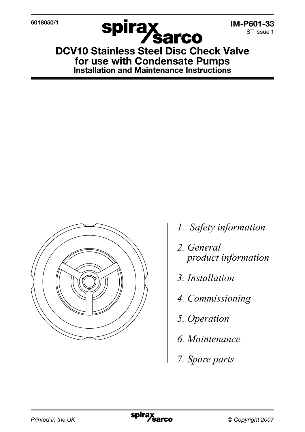

**Spirax<br>DCV10 Stainless Steel Disc Check Valve** for use with Condensate Pumps Installation and Maintenance Instructions



- *1. Safety information*
- *2. General product information*
- *3. Installation*
- *4. Commissioning*
- *5. Operation*
- *6. Maintenance*
- *7. Spare parts*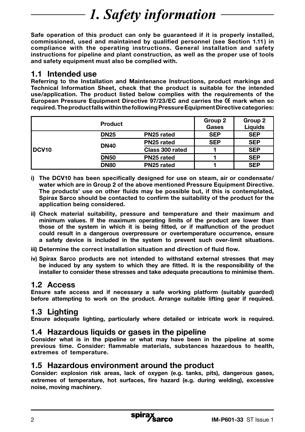# *1. Safety information*

Safe operation of this product can only be guaranteed if it is properly installed, commissioned, used and maintained by qualified personnel (see Section 1.11 ) in compliance with the operating instructions. General installation and safety instructions for pipeline and plant construction, as well as the proper use of tools and safety equipment must also be complied with.

### 1.1 Intended use

Referring to the Installation and Maintenance Instructions, product markings and Technical Information Sheet, check that the product is suitable for the intended use/application. The product listed below complies with the requirements of the European Pressure Equipment Directive 97/23/EC and carries the CC mark when so required. The product falls within the following Pressure Equipment Directive categories:

|                   | <b>Product</b> |                 | Group 2<br>Gases | Group 2<br>Liquids |
|-------------------|----------------|-----------------|------------------|--------------------|
| DCV <sub>10</sub> | <b>DN25</b>    | PN25 rated      | <b>SEP</b>       | <b>SEP</b>         |
|                   | <b>DN40</b>    | PN25 rated      | <b>SEP</b>       | <b>SEP</b>         |
|                   |                | Class 300 rated |                  | <b>SEP</b>         |
|                   | <b>DN50</b>    | PN25 rated      |                  | <b>SEP</b>         |
|                   | <b>DN80</b>    | PN25 rated      |                  | <b>SEP</b>         |

- i) The DCV10 has been specifically designed for use on steam, air or condensate/ water which are in Group 2 of the above mentioned Pressure Equipment Directive. The products' use on other fluids may be possible but, if this is contemplated, Spirax Sarco should be contacted to confirm the suitability of the product for the application being considered.
- ii) Check material suitability, pressure and temperature and their maximum and minimum values. If the maximum operating limits of the product are lower than those of the system in which it is being fitted, or if malfunction of the product could result in a dangerous overpressure or overtemperature occurrence, ensure a safety device is included in the system to prevent such over-limit situations.
- iii) Determine the correct installation situation and direction of fluid flow.
- iv) Spirax Sarco products are not intended to withstand external stresses that may be induced by any system to which they are fitted. It is the responsibility of the installer to consider these stresses and take adequate precautions to minimise them.

## 1.2 Access

Ensure safe access and if necessary a safe working platform (suitably guarded) before attempting to work on the product. Arrange suitable lifting gear if required.

## 1.3 Lighting

Ensure adequate lighting, particularly where detailed or intricate work is required.

#### 1.4 Hazardous liquids or gases in the pipeline

Consider what is in the pipeline or what may have been in the pipeline at some previous time. Consider: flammable materials, substances hazardous to health, extremes of temperature.

### 1.5 Hazardous environment around the product

Consider: explosion risk areas, lack of oxygen (e.g. tanks, pits), dangerous gases, extremes of temperature, hot surfaces, fire hazard (e.g. during welding), excessive noise, moving machinery.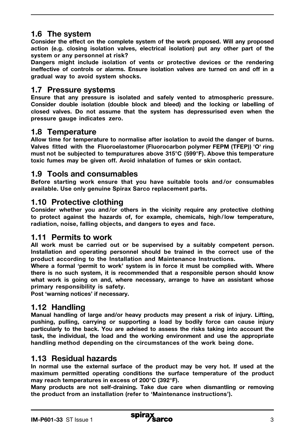# 1.6 The system

Consider the effect on the complete system of the work proposed. Will any proposed action (e.g. closing isolation valves, electrical isolation) put any other part of the system or any personnel at risk?

Dangers might include isolation of vents or protective devices or the rendering ineffective of controls or alarms. Ensure isolation valves are turned on and off in a gradual way to avoid system shocks.

### 1.7 Pressure systems

Ensure that any pressure is isolated and safely vented to atmospheric pressure. Consider double isolation (double block and bleed) and the locking or labelling of closed valves. Do not assume that the system has depressurised even when the pressure gauge indicates zero.

# 1.8 Temperature

Allow time for temperature to normalise after isolation to avoid the danger of burns. Valves fitted with the Fluoroelastomer (Fluorocarbon polymer FEPM (TFEP)) 'O' ring must not be subjected to tempuratures above 315°C (599°F). Above this temperature toxic fumes may be given off. Avoid inhalation of fumes or skin contact.

# 1.9 Tools and consumables

Before starting work ensure that you have suitable tools and /or consumables available. Use only genuine Spirax Sarco replacement parts.

## 1.10 Protective clothing

Consider whether you and /or others in the vicinity require any protective clothing to protect against the hazards of, for example, chemicals, high / low temperature, radiation, noise, falling objects, and dangers to eyes and face.

### 1.11 Permits to work

All work must be carried out or be supervised by a suitably competent person. Installation and operating personnel should be trained in the correct use of the product according to the Installation and Maintenance Instructions.

Where a formal 'permit to work' system is in force it must be complied with. Where there is no such system, it is recommended that a responsible person should know what work is going on and, where necessary, arrange to have an assistant whose primary responsibility is safety.

Post 'warning notices' if necessary.

## 1.12 Handling

Manual handling of large and/or heavy products may present a risk of injury. Lifting, pushing, pulling, carrying or supporting a load by bodily force can cause injury particularly to the back. You are advised to assess the risks taking into account the task, the individual, the load and the working environment and use the appropriate handling method depending on the circumstances of the work being done.

### 1.13 Residual hazards

In normal use the external surface of the product may be very hot. If used at the maximum permitted operating conditions the surface temperature of the product may reach temperatures in excess of 200°C (392°F).

Many products are not self-draining. Take due care when dismantling or removing the product from an installation (refer to 'Maintenance instructions').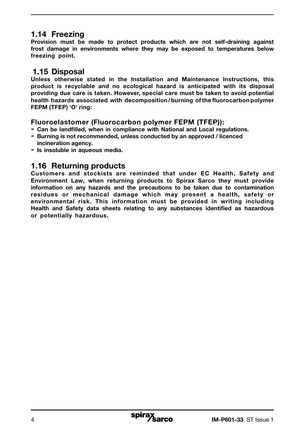# 1.14 Freezing

Provision must be made to protect products which are not self-draining against frost damage in environments where they may be exposed to temperatures below freezing point.

## 1.15 Disposal

Unless otherwise stated in the Installation and Maintenance Instructions, this product is recyclable and no ecological hazard is anticipated with its disposal providing due care is taken. However, special care must be taken to avoid potential health hazards associated with decomposition/burning of the fluorocarbon polymer FEPM (TFEP) 'O' ring:

### Fluoroelastomer (Fluorocarbon polymer FEPM (TFEP)):

- Can be landfilled, when in compliance with National and Local regulations.
- Burning is not recommended, unless conducted by an approved / licenced incineration agency.
- Is insoluble in aqueous media.

# 1.16 Returning products

Customers and stockists are reminded that under EC Health, Safety and Environment Law, when returning products to Spirax Sarco they must provide information on any hazards and the precautions to be taken due to contamination residues or mechanical damage which may present a health, safety or environmental risk. This information must be provided in writing including Health and Safety data sheets relating to any substances identified as hazardous or potentially hazardous.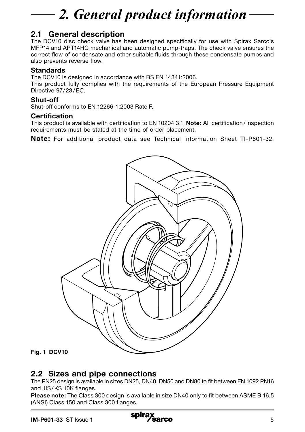# *2. General product information*

# 2.1 General description

The DCV10 disc check valve has been designed specifically for use with Spirax Sarco's MFP14 and APT14HC mechanical and automatic pump-traps. The check valve ensures the correct flow of condensate and other suitable fluids through these condensate pumps and also prevents reverse flow.

#### **Standards**

The DCV10 is designed in accordance with BS EN 14341:2006.

This product fully complies with the requirements of the European Pressure Equipment Directive 97/23/EC.

#### Shut-off

Shut-off conforms to EN 12266-1:2003 Rate F.

#### Certification

This product is available with certification to EN 10204 3.1. Note: All certification / inspection requirements must be stated at the time of order placement.

Note: For additional product data see Technical Information Sheet TI-P601-32.



#### Fig. 1 DCV10

## 2.2 Sizes and pipe connections

The PN25 design is available in sizes DN25, DN40, DN50 and DN80 to fit between EN 1092 PN16 and JIS/KS 10K flanges.

Please note: The Class 300 design is available in size DN40 only to fit between ASME B 16.5 (ANSI) Class 150 and Class 300 flanges.

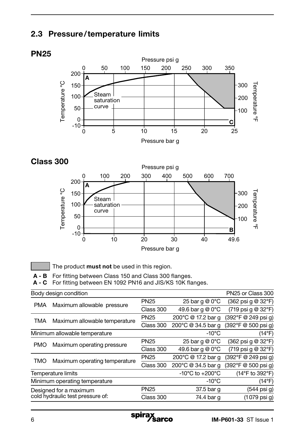# 2.3 Pressure/temperature limits

# **PN25**



Class 300



The product must not be used in this region.

A - B For fitting between Class 150 and Class 300 flanges.

A - C For fitting between EN 1092 PN16 and JIS/KS 10K flanges.

|                                                            | Body design condition                            |             |                                     | PN25 or Class 300                                     |
|------------------------------------------------------------|--------------------------------------------------|-------------|-------------------------------------|-------------------------------------------------------|
| <b>PMA</b>                                                 | Maximum allowable pressure                       | <b>PN25</b> | 25 bar q $@0^{\circ}$ C             | (362 psi g @ 32°F)                                    |
|                                                            |                                                  | Class 300   | 49.6 bar q @ 0°C                    | $(719 \text{ psi } q \text{ @ } 32^{\circ} \text{F})$ |
| <b>TMA</b>                                                 | Maximum allowable temperature                    | <b>PN25</b> | 200°C @ 17.2 bar g                  | (392°F @ 249 psi q)                                   |
|                                                            |                                                  | Class 300   | 200°C @ 34.5 bar q                  | (392°F @ 500 psi q)                                   |
|                                                            | $-10^{\circ}$ C<br>Minimum allowable temperature |             | $(14^{\circ}F)$                     |                                                       |
| <b>PMO</b>                                                 |                                                  | <b>PN25</b> | 25 bar q @ 0°C                      | $(362 \text{ psi } q \text{ @ } 32^{\circ} \text{F})$ |
|                                                            | Maximum operating pressure                       | Class 300   | 49.6 bar q @ 0°C                    | (719 psi g @ 32°F)                                    |
| TMO                                                        | Maximum operating temperature                    | <b>PN25</b> | 200°C @ 17.2 bar g                  | (392°F @ 249 psi g)                                   |
|                                                            |                                                  | Class 300   | 200°C @ 34.5 bar q                  | (392°F @ 500 psi g)                                   |
|                                                            | <b>Temperature limits</b>                        |             | $-10^{\circ}$ C to $+200^{\circ}$ C | (14°F to 392°F)                                       |
|                                                            | Minimum operating temperature                    |             | -10°C                               | $(14^{\circ}F)$                                       |
| Designed for a maximum<br>cold hydraulic test pressure of: |                                                  | <b>PN25</b> | 37.5 bar g                          | (544 psi g)                                           |
|                                                            |                                                  | Class 300   | 74.4 bar g                          | (1079 psi g)                                          |
|                                                            |                                                  |             |                                     |                                                       |

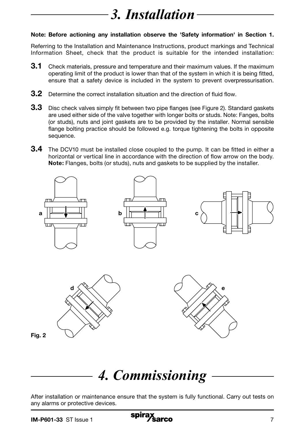# *3. Installation*

#### Note: Before actioning any installation observe the 'Safety information' in Section 1.

Referring to the Installation and Maintenance Instructions, product markings and Technical Information Sheet, check that the product is suitable for the intended installation:

- **3.1** Check materials, pressure and temperature and their maximum values. If the maximum operating limit of the product is lower than that of the system in which it is being fitted, ensure that a safety device is included in the system to prevent overpressurisation.
- 3.2 Determine the correct installation situation and the direction of fluid flow.
- 3.3 Disc check valves simply fit between two pipe flanges (see Figure 2). Standard gaskets are used either side of the valve together with longer bolts or studs. Note: Fanges, bolts (or studs), nuts and joint gaskets are to be provided by the installer. Normal sensible flange bolting practice should be followed e.g. torque tightening the bolts in opposite sequence.
- **3.4** The DCV10 must be installed close coupled to the pump. It can be fitted in either a horizontal or vertical line in accordance with the direction of flow arrow on the body. Note: Flanges, bolts (or studs), nuts and gaskets to be supplied by the installer.



# *4. Commissioning*

After installation or maintenance ensure that the system is fully functional. Carry out tests on any alarms or protective devices.